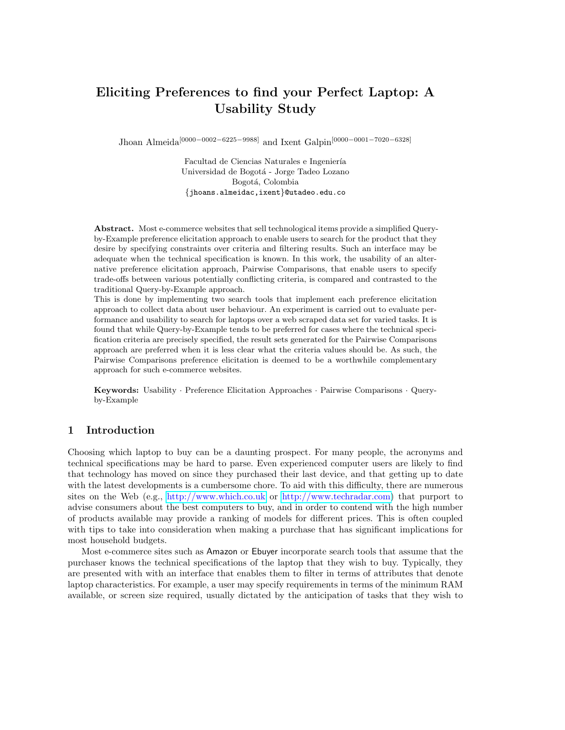# Eliciting Preferences to find your Perfect Laptop: A Usability Study

Jhoan Almeida[0000−0002−6225−9988] and Ixent Galpin[0000−0001−7020−6328]

Facultad de Ciencias Naturales e Ingeniería Universidad de Bogotá - Jorge Tadeo Lozano Bogotá, Colombia {jhoans.almeidac,ixent}@utadeo.edu.co

Abstract. Most e-commerce websites that sell technological items provide a simplified Queryby-Example preference elicitation approach to enable users to search for the product that they desire by specifying constraints over criteria and filtering results. Such an interface may be adequate when the technical specification is known. In this work, the usability of an alternative preference elicitation approach, Pairwise Comparisons, that enable users to specify trade-offs between various potentially conflicting criteria, is compared and contrasted to the traditional Query-by-Example approach.

This is done by implementing two search tools that implement each preference elicitation approach to collect data about user behaviour. An experiment is carried out to evaluate performance and usability to search for laptops over a web scraped data set for varied tasks. It is found that while Query-by-Example tends to be preferred for cases where the technical specification criteria are precisely specified, the result sets generated for the Pairwise Comparisons approach are preferred when it is less clear what the criteria values should be. As such, the Pairwise Comparisons preference elicitation is deemed to be a worthwhile complementary approach for such e-commerce websites.

Keywords: Usability · Preference Elicitation Approaches · Pairwise Comparisons · Queryby-Example

# 1 Introduction

Choosing which laptop to buy can be a daunting prospect. For many people, the acronyms and technical specifications may be hard to parse. Even experienced computer users are likely to find that technology has moved on since they purchased their last device, and that getting up to date with the latest developments is a cumbersome chore. To aid with this difficulty, there are numerous sites on the Web (e.g., <http://www.which.co.uk> or [http://www.techradar.com\)](http://www.techradar.com) that purport to advise consumers about the best computers to buy, and in order to contend with the high number of products available may provide a ranking of models for different prices. This is often coupled with tips to take into consideration when making a purchase that has significant implications for most household budgets.

Most e-commerce sites such as Amazon or Ebuyer incorporate search tools that assume that the purchaser knows the technical specifications of the laptop that they wish to buy. Typically, they are presented with with an interface that enables them to filter in terms of attributes that denote laptop characteristics. For example, a user may specify requirements in terms of the minimum RAM available, or screen size required, usually dictated by the anticipation of tasks that they wish to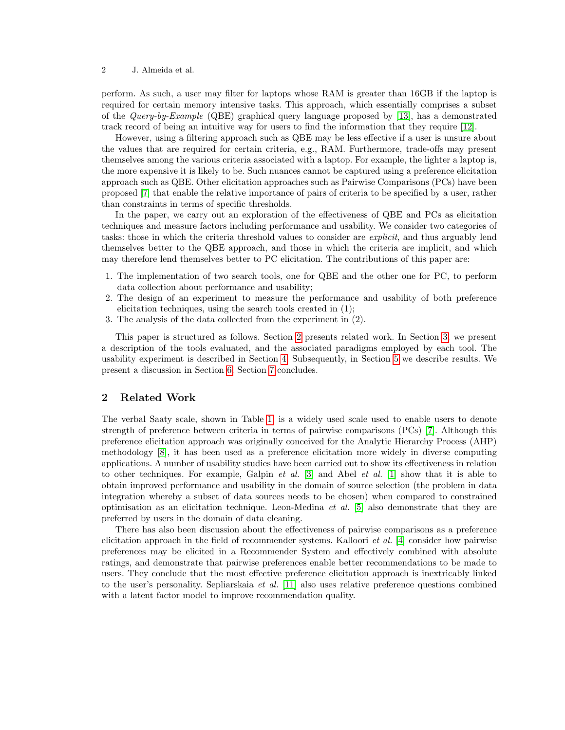perform. As such, a user may filter for laptops whose RAM is greater than 16GB if the laptop is required for certain memory intensive tasks. This approach, which essentially comprises a subset of the *Query-by-Example* (QBE) graphical query language proposed by [\[13\]](#page-14-0), has a demonstrated track record of being an intuitive way for users to find the information that they require [\[12\]](#page-13-0).

However, using a filtering approach such as QBE may be less effective if a user is unsure about the values that are required for certain criteria, e.g., RAM. Furthermore, trade-offs may present themselves among the various criteria associated with a laptop. For example, the lighter a laptop is, the more expensive it is likely to be. Such nuances cannot be captured using a preference elicitation approach such as QBE. Other elicitation approaches such as Pairwise Comparisons (PCs) have been proposed [\[7\]](#page-12-0) that enable the relative importance of pairs of criteria to be specified by a user, rather than constraints in terms of specific thresholds.

In the paper, we carry out an exploration of the effectiveness of QBE and PCs as elicitation techniques and measure factors including performance and usability. We consider two categories of tasks: those in which the criteria threshold values to consider are *explicit*, and thus arguably lend themselves better to the QBE approach, and those in which the criteria are implicit, and which may therefore lend themselves better to PC elicitation. The contributions of this paper are:

- 1. The implementation of two search tools, one for QBE and the other one for PC, to perform data collection about performance and usability;
- 2. The design of an experiment to measure the performance and usability of both preference elicitation techniques, using the search tools created in (1);
- 3. The analysis of the data collected from the experiment in (2).

This paper is structured as follows. Section [2](#page-1-0) presents related work. In Section [3,](#page-2-0) we present a description of the tools evaluated, and the associated paradigms employed by each tool. The usability experiment is described in Section [4.](#page-3-0) Subsequently, in Section [5](#page-7-0) we describe results. We present a discussion in Section [6.](#page-9-0) Section [7](#page-11-0) concludes.

# <span id="page-1-0"></span>2 Related Work

The verbal Saaty scale, shown in Table [1,](#page-2-1) is a widely used scale used to enable users to denote strength of preference between criteria in terms of pairwise comparisons (PCs) [\[7\]](#page-12-0). Although this preference elicitation approach was originally conceived for the Analytic Hierarchy Process (AHP) methodology [\[8\]](#page-12-1), it has been used as a preference elicitation more widely in diverse computing applications. A number of usability studies have been carried out to show its effectiveness in relation to other techniques. For example, Galpin *et al.* [\[3\]](#page-11-1) and Abel *et al.* [\[1\]](#page-11-2) show that it is able to obtain improved performance and usability in the domain of source selection (the problem in data integration whereby a subset of data sources needs to be chosen) when compared to constrained optimisation as an elicitation technique. Leon-Medina *et al.* [\[5\]](#page-12-2) also demonstrate that they are preferred by users in the domain of data cleaning.

There has also been discussion about the effectiveness of pairwise comparisons as a preference elicitation approach in the field of recommender systems. Kalloori *et al.* [\[4\]](#page-12-3) consider how pairwise preferences may be elicited in a Recommender System and effectively combined with absolute ratings, and demonstrate that pairwise preferences enable better recommendations to be made to users. They conclude that the most effective preference elicitation approach is inextricably linked to the user's personality. Sepliarskaia et al. [\[11\]](#page-12-4) also uses relative preference questions combined with a latent factor model to improve recommendation quality.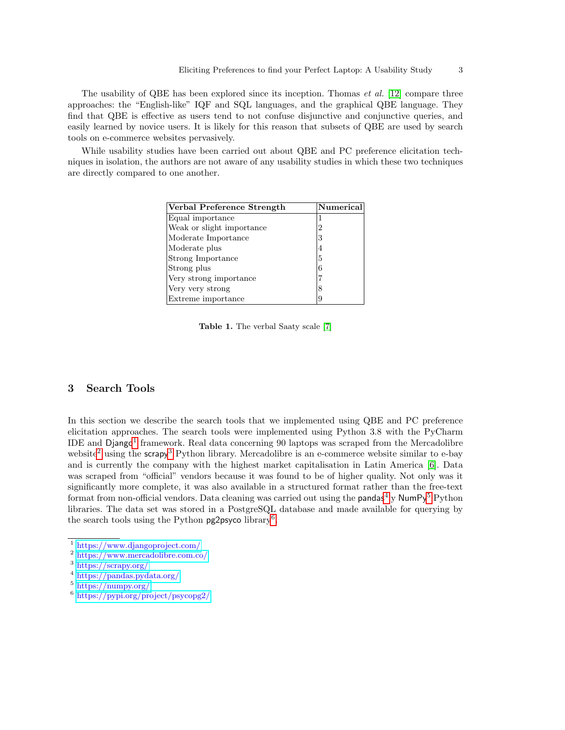The usability of QBE has been explored since its inception. Thomas *et al.* [\[12\]](#page-13-0) compare three approaches: the "English-like" IQF and SQL languages, and the graphical QBE language. They find that QBE is effective as users tend to not confuse disjunctive and conjunctive queries, and easily learned by novice users. It is likely for this reason that subsets of QBE are used by search tools on e-commerce websites pervasively.

While usability studies have been carried out about QBE and PC preference elicitation techniques in isolation, the authors are not aware of any usability studies in which these two techniques are directly compared to one another.

| Verbal Preference Strength | Numerical      |
|----------------------------|----------------|
| Equal importance           |                |
| Weak or slight importance  | $\overline{2}$ |
| Moderate Importance        | 3              |
| Moderate plus              | $\overline{4}$ |
| Strong Importance          | 5              |
| Strong plus                | 6              |
| Very strong importance     | 7              |
| Very very strong           | 8              |
| Extreme importance         | 9              |

<span id="page-2-1"></span>

| Table 1. The verbal Saaty scale [7] |  |  |  |  |  |  |  |
|-------------------------------------|--|--|--|--|--|--|--|
|-------------------------------------|--|--|--|--|--|--|--|

# <span id="page-2-0"></span>3 Search Tools

In this section we describe the search tools that we implemented using QBE and PC preference elicitation approaches. The search tools were implemented using Python 3.8 with the PyCharm IDE and Django<sup>[1](#page-2-2)</sup> framework. Real data concerning 90 laptops was scraped from the Mercadolibre website<sup>[2](#page-2-3)</sup> using the scrapy<sup>[3](#page-2-4)</sup> Python library. Mercadolibre is an e-commerce website similar to e-bay and is currently the company with the highest market capitalisation in Latin America [\[6\]](#page-12-5). Data was scraped from "official" vendors because it was found to be of higher quality. Not only was it significantly more complete, it was also available in a structured format rather than the free-text format from non-official vendors. Data cleaning was carried out using the **pandas**<sup>[4](#page-2-5)</sup> y NumPy<sup>[5](#page-2-6)</sup> Python libraries. The data set was stored in a PostgreSQL database and made available for querying by the search tools using the Python  $pg2p$ syco library<sup>[6](#page-2-7)</sup>.

<span id="page-2-2"></span><sup>1</sup> <https://www.djangoproject.com/>

<span id="page-2-3"></span><sup>2</sup> <https://www.mercadolibre.com.co/>

<span id="page-2-4"></span><sup>3</sup> <https://scrapy.org/>

<span id="page-2-5"></span><sup>4</sup> <https://pandas.pydata.org/>

<span id="page-2-6"></span><sup>5</sup> <https://numpy.org/>

<span id="page-2-7"></span><sup>6</sup> <https://pypi.org/project/psycopg2/>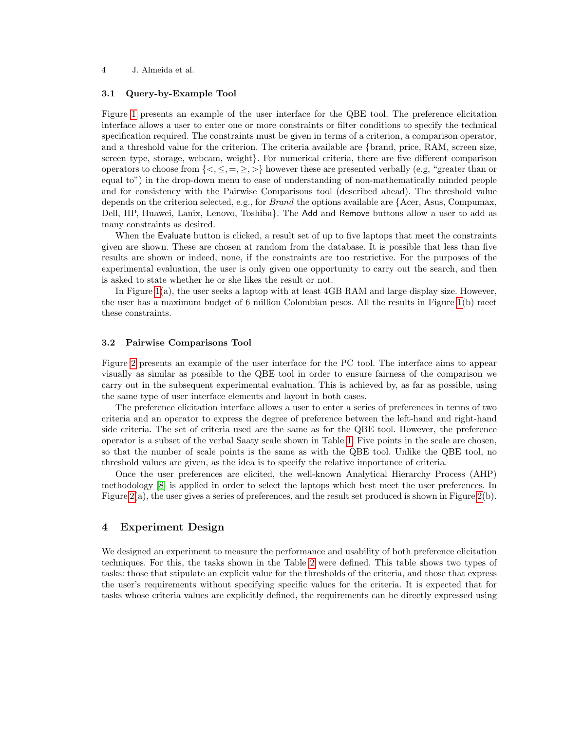#### 3.1 Query-by-Example Tool

Figure [1](#page-4-0) presents an example of the user interface for the QBE tool. The preference elicitation interface allows a user to enter one or more constraints or filter conditions to specify the technical specification required. The constraints must be given in terms of a criterion, a comparison operator, and a threshold value for the criterion. The criteria available are {brand, price, RAM, screen size, screen type, storage, webcam, weight}. For numerical criteria, there are five different comparison operators to choose from  $\{<,\leq,=,\geq,\geq\}$  however these are presented verbally (e.g, "greater than or equal to") in the drop-down menu to ease of understanding of non-mathematically minded people and for consistency with the Pairwise Comparisons tool (described ahead). The threshold value depends on the criterion selected, e.g., for *Brand* the options available are  $\{Acer, Asus, Company,$ Dell, HP, Huawei, Lanix, Lenovo, Toshiba}. The Add and Remove buttons allow a user to add as many constraints as desired.

When the Evaluate button is clicked, a result set of up to five laptops that meet the constraints given are shown. These are chosen at random from the database. It is possible that less than five results are shown or indeed, none, if the constraints are too restrictive. For the purposes of the experimental evaluation, the user is only given one opportunity to carry out the search, and then is asked to state whether he or she likes the result or not.

In Figure  $1(a)$ , the user seeks a laptop with at least  $4GB$  RAM and large display size. However, the user has a maximum budget of 6 million Colombian pesos. All the results in Figure [1\(](#page-4-0)b) meet these constraints.

#### 3.2 Pairwise Comparisons Tool

Figure [2](#page-5-0) presents an example of the user interface for the PC tool. The interface aims to appear visually as similar as possible to the QBE tool in order to ensure fairness of the comparison we carry out in the subsequent experimental evaluation. This is achieved by, as far as possible, using the same type of user interface elements and layout in both cases.

The preference elicitation interface allows a user to enter a series of preferences in terms of two criteria and an operator to express the degree of preference between the left-hand and right-hand side criteria. The set of criteria used are the same as for the QBE tool. However, the preference operator is a subset of the verbal Saaty scale shown in Table [1.](#page-2-1) Five points in the scale are chosen, so that the number of scale points is the same as with the QBE tool. Unlike the QBE tool, no threshold values are given, as the idea is to specify the relative importance of criteria.

Once the user preferences are elicited, the well-known Analytical Hierarchy Process (AHP) methodology [\[8\]](#page-12-1) is applied in order to select the laptops which best meet the user preferences. In Figure  $2(a)$ , the user gives a series of preferences, and the result set produced is shown in Figure  $2(b)$ .

# <span id="page-3-0"></span>4 Experiment Design

We designed an experiment to measure the performance and usability of both preference elicitation techniques. For this, the tasks shown in the Table [2](#page-6-0) were defined. This table shows two types of tasks: those that stipulate an explicit value for the thresholds of the criteria, and those that express the user's requirements without specifying specific values for the criteria. It is expected that for tasks whose criteria values are explicitly defined, the requirements can be directly expressed using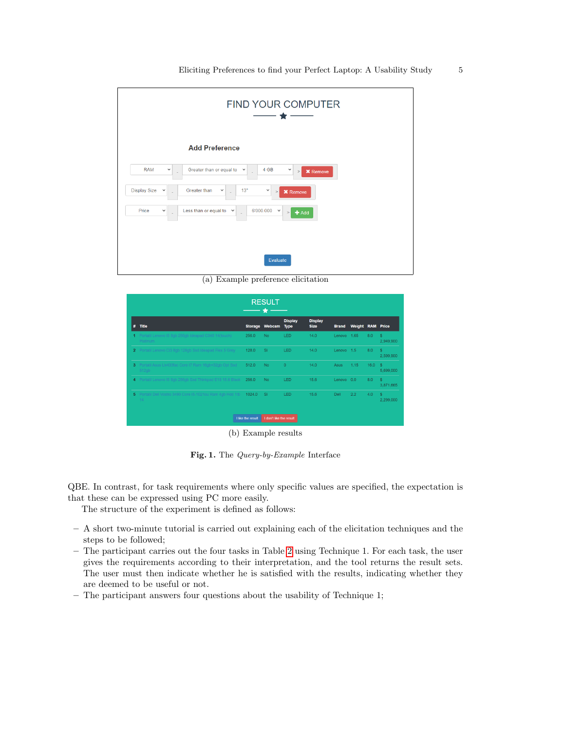| FIND YOUR COMPUTER                                                                                                                          |
|---------------------------------------------------------------------------------------------------------------------------------------------|
| <b>Add Preference</b>                                                                                                                       |
| <b>RAM</b><br>Greater than or equal to<br>4 GB<br>$\checkmark$<br>$\checkmark$<br>$\checkmark$<br><b>*</b> Remove<br>÷,<br>$\geq$<br>$\sim$ |
| <b>Display Size</b><br>Greater than<br>13"<br>$\checkmark$<br>$\checkmark$<br>$\checkmark$<br>÷,<br><b>*</b> Remove<br>$\geq$<br>×,         |
| Less than or equal to $\sim$<br>$6'000.000 \sim$<br>Price<br>$\checkmark$<br>$#$ Add<br>$\,$<br>ä,<br>٠                                     |
|                                                                                                                                             |
| Evaluate                                                                                                                                    |

(a) Example preference elicitation

|    |                                                                   |                   | <b>RESULT</b>           |                               |                               |              |                  |      |                  |
|----|-------------------------------------------------------------------|-------------------|-------------------------|-------------------------------|-------------------------------|--------------|------------------|------|------------------|
| #  | Title                                                             |                   | Storage Webcam          | <b>Display</b><br><b>Type</b> | <b>Display</b><br><b>Size</b> | <b>Brand</b> | Weight RAM Price |      |                  |
|    | 1 Portatil Lenovo I5 8gb 256gb Ideapad C340 14(touch)<br>Platinum | 256.0             | <b>No</b>               | <b>LED</b>                    | 14.0                          | Lenovo 1.65  |                  | 8.0  | \$<br>2.949.900  |
|    | 2 Portatil Lenovo Ci3 8gb 128gb Ssd Ideapad Flex 5 Grey           | 128.0             | Si                      | LED                           | 14.0                          | Lenovo 1.5   |                  | 8.0  | \$.<br>2.599.900 |
| 3  | Portatil Asus Ux433fac Core I7 Ram 16gb+32gb Opt Ssd<br>512qb     | 512.0             | <b>No</b>               | $\overline{0}$                | 14.0                          | <b>Asus</b>  | 1.15             | 16.0 | s.<br>5,699,000  |
| 4  | Portatil Lenovo I5 8gb 256gb Ssd Thinkpad E15 15.6 Black          | 256.0             | <b>No</b>               | LED                           | 15.6                          | Lenovo 0.0   |                  | 8.0  | \$.<br>3,871,665 |
| 5. | Portatil Dell Vostro 3490 Core 15-1021ou Ram 4gb Hdd 1tb<br>14    | 1024.0            | <b>Si</b>               | <b>LED</b>                    | 15.6                          | <b>Dell</b>  | $2.2^{\circ}$    | 4.0  | \$.<br>2,299,000 |
|    |                                                                   | I like the result | I don't like the result |                               |                               |              |                  |      |                  |

<span id="page-4-0"></span>(b) Example results

Fig. 1. The Query-by-Example Interface

QBE. In contrast, for task requirements where only specific values are specified, the expectation is that these can be expressed using PC more easily.

The structure of the experiment is defined as follows:

- A short two-minute tutorial is carried out explaining each of the elicitation techniques and the steps to be followed;
- The participant carries out the four tasks in Table [2](#page-6-0) using Technique 1. For each task, the user gives the requirements according to their interpretation, and the tool returns the result sets. The user must then indicate whether he is satisfied with the results, indicating whether they are deemed to be useful or not.
- The participant answers four questions about the usability of Technique 1;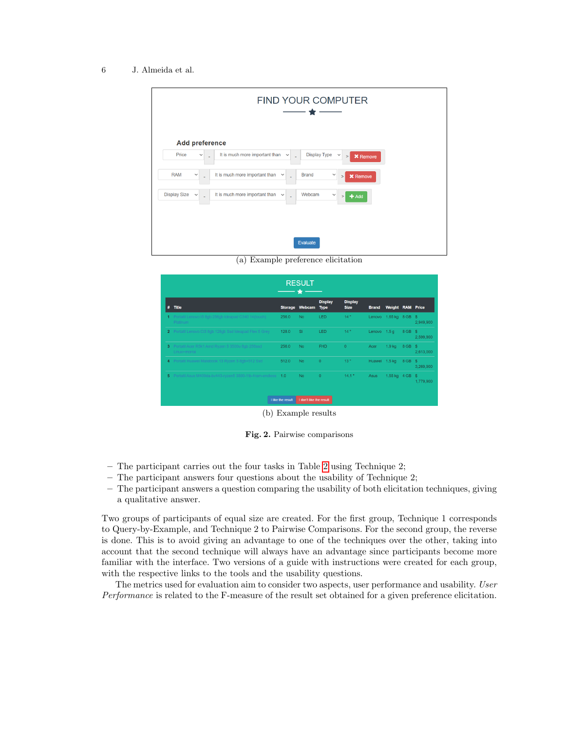

(a) Example preference elicitation

|                |                                                                 |                   | <b>RESULT</b>           |                               |                               |               |                        |         |                  |
|----------------|-----------------------------------------------------------------|-------------------|-------------------------|-------------------------------|-------------------------------|---------------|------------------------|---------|------------------|
| #              | Title                                                           |                   | Storage Webcam          | <b>Display</b><br><b>Type</b> | <b>Display</b><br><b>Size</b> | <b>Brand</b>  | Weight RAM Price       |         |                  |
|                | Portatil Lenovo I5 8gb 256gb Ideapad C340 14(touch)<br>Platinum | 256.0             | <b>No</b>               | LED                           | 14"                           |               | Lenovo 1.65 kg 8 GB \$ |         | 2.949.900        |
| $\overline{2}$ | Portatil Lenovo Ci3 8gb 128gb Ssd Ideapad Flex 5 Grey           | 128.0             | <b>SI</b>               | <b>LED</b>                    | 14"                           |               | Lenovo $1.5a$          | 8 GB \$ | 2.599.900        |
| 3              | Portatil Acer R5k1 Amd Ryzen 5 3500u 8gb 256ssd<br>Linux+morral | 256.0             | <b>No</b>               | <b>FHD</b>                    | $\overline{0}$                | Acer          | 1.9 <sub>kg</sub>      | 8 GB \$ | 2,613,000        |
| 4              | Portatil Huawei Matebook 13 Ryzen 5 8gb+512 Ssd                 | 512.0             | <b>No</b>               | $\Omega$                      | 13"                           | Huawei 1.5 kg |                        | 8 GB    | -\$<br>3.269.900 |
| 5              | Portatil Asus M409da-bv443-rvzen5 3500-1tb-4ram-endless         | 1.0               | <b>No</b>               | $\Omega$                      | 14.1"                         | <b>Asus</b>   | 1.55 kg 4 GB \$        |         | 1,779,900        |
|                |                                                                 | I like the result | I don't like the result |                               |                               |               |                        |         |                  |

<span id="page-5-0"></span>(b) Example results

Fig. 2. Pairwise comparisons

- The participant carries out the four tasks in Table [2](#page-6-0) using Technique 2;
- The participant answers four questions about the usability of Technique 2;
- The participant answers a question comparing the usability of both elicitation techniques, giving a qualitative answer.

Two groups of participants of equal size are created. For the first group, Technique 1 corresponds to Query-by-Example, and Technique 2 to Pairwise Comparisons. For the second group, the reverse is done. This is to avoid giving an advantage to one of the techniques over the other, taking into account that the second technique will always have an advantage since participants become more familiar with the interface. Two versions of a guide with instructions were created for each group, with the respective links to the tools and the usability questions.

The metrics used for evaluation aim to consider two aspects, user performance and usability. User Performance is related to the F-measure of the result set obtained for a given preference elicitation.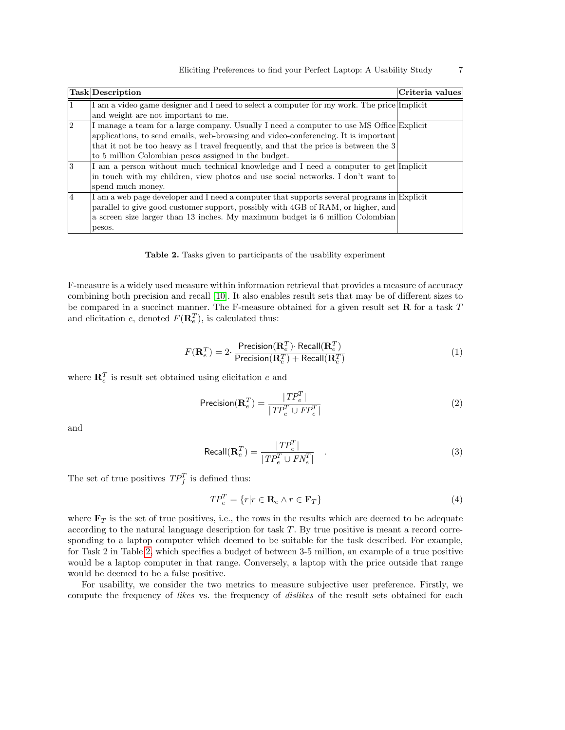|             | Task Description                                                                           | Criteria values |
|-------------|--------------------------------------------------------------------------------------------|-----------------|
| $\vert$ 1   | I am a video game designer and I need to select a computer for my work. The price Implicit |                 |
|             | and weight are not important to me.                                                        |                 |
| $ 2\rangle$ | I manage a team for a large company. Usually I need a computer to use MS Office Explicit   |                 |
|             | applications, to send emails, web-browsing and video-conferencing. It is important         |                 |
|             | that it not be too heavy as I travel frequently, and that the price is between the $3$     |                 |
|             | to 5 million Colombian pesos assigned in the budget.                                       |                 |
| 13          | I am a person without much technical knowledge and I need a computer to get Implicit       |                 |
|             | in touch with my children, view photos and use social networks. I don't want to            |                 |
|             | spend much money.                                                                          |                 |
| 4           | I am a web page developer and I need a computer that supports several programs in Explicit |                 |
|             | parallel to give good customer support, possibly with 4GB of RAM, or higher, and           |                 |
|             | a screen size larger than 13 inches. My maximum budget is 6 million Colombian              |                 |
|             | pesos.                                                                                     |                 |

<span id="page-6-0"></span>

|  |  | Table 2. Tasks given to participants of the usability experiment |  |  |  |
|--|--|------------------------------------------------------------------|--|--|--|
|--|--|------------------------------------------------------------------|--|--|--|

F-measure is a widely used measure within information retrieval that provides a measure of accuracy combining both precision and recall [\[10\]](#page-12-6). It also enables result sets that may be of different sizes to be compared in a succinct manner. The F-measure obtained for a given result set  $\bf R$  for a task  $T$ and elicitation e, denoted  $F(\mathbf{R}_e^T)$ , is calculated thus:

$$
F(\mathbf{R}_e^T) = 2 \cdot \frac{\text{Precision}(\mathbf{R}_e^T) \cdot \text{Recall}(\mathbf{R}_e^T)}{\text{Precision}(\mathbf{R}_e^T) + \text{Recall}(\mathbf{R}_e^T)}
$$
(1)

where  $\mathbf{R}_{e}^{T}$  is result set obtained using elicitation e and

$$
\text{Precision}(\mathbf{R}_e^T) = \frac{|TP_e^T|}{|TP_e^T \cup FP_e^T|}
$$
\n<sup>(2)</sup>

and

$$
\text{Recall}(\mathbf{R}_e^T) = \frac{|TP_e^T|}{|TP_e^T \cup FN_e^T|} \quad . \tag{3}
$$

The set of true positives  $TP_f^T$  is defined thus:

$$
TP_e^T = \{r|r \in \mathbf{R}_e \land r \in \mathbf{F}_T\}\tag{4}
$$

where  $\mathbf{F}_T$  is the set of true positives, i.e., the rows in the results which are deemed to be adequate according to the natural language description for task  $T$ . By true positive is meant a record corresponding to a laptop computer which deemed to be suitable for the task described. For example, for Task 2 in Table [2,](#page-6-0) which specifies a budget of between 3-5 million, an example of a true positive would be a laptop computer in that range. Conversely, a laptop with the price outside that range would be deemed to be a false positive.

For usability, we consider the two metrics to measure subjective user preference. Firstly, we compute the frequency of *likes* vs. the frequency of *dislikes* of the result sets obtained for each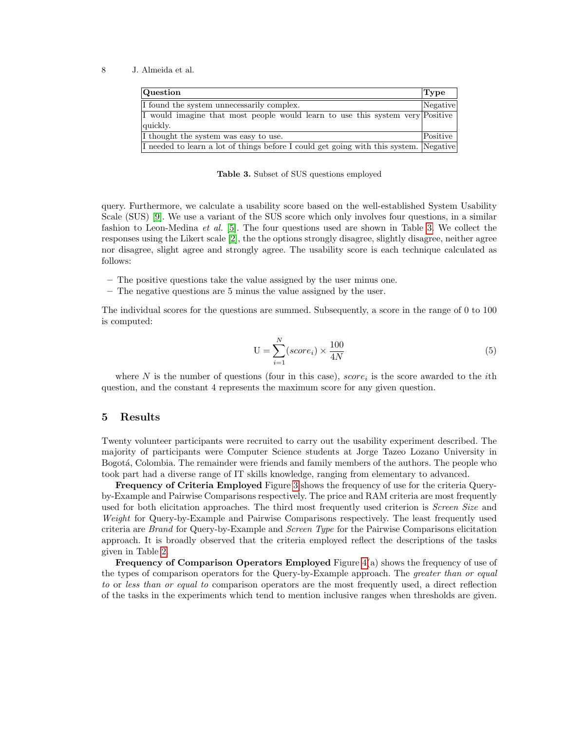| Question                                                                              | Type     |
|---------------------------------------------------------------------------------------|----------|
| I found the system unnecessarily complex.                                             | Negative |
| I would imagine that most people would learn to use this system very Positive         |          |
| quickly.                                                                              |          |
| I thought the system was easy to use.                                                 | Positive |
| I needed to learn a lot of things before I could get going with this system. Negative |          |

<span id="page-7-1"></span>Table 3. Subset of SUS questions employed

query. Furthermore, we calculate a usability score based on the well-established System Usability Scale (SUS) [\[9\]](#page-12-7). We use a variant of the SUS score which only involves four questions, in a similar fashion to Leon-Medina *et al.* [\[5\]](#page-12-2). The four questions used are shown in Table [3.](#page-7-1) We collect the responses using the Likert scale [\[2\]](#page-11-3), the the options strongly disagree, slightly disagree, neither agree nor disagree, slight agree and strongly agree. The usability score is each technique calculated as follows:

- The positive questions take the value assigned by the user minus one.
- The negative questions are 5 minus the value assigned by the user.

The individual scores for the questions are summed. Subsequently, a score in the range of 0 to 100 is computed:

$$
U = \sum_{i=1}^{N} (score_i) \times \frac{100}{4N}
$$
 (5)

where N is the number of questions (four in this case),  $score_i$  is the score awarded to the *i*th question, and the constant 4 represents the maximum score for any given question.

## <span id="page-7-0"></span>5 Results

Twenty volunteer participants were recruited to carry out the usability experiment described. The majority of participants were Computer Science students at Jorge Tazeo Lozano University in Bogotá, Colombia. The remainder were friends and family members of the authors. The people who took part had a diverse range of IT skills knowledge, ranging from elementary to advanced.

Frequency of Criteria Employed Figure [3](#page-8-0) shows the frequency of use for the criteria Queryby-Example and Pairwise Comparisons respectively. The price and RAM criteria are most frequently used for both elicitation approaches. The third most frequently used criterion is *Screen Size* and Weight for Query-by-Example and Pairwise Comparisons respectively. The least frequently used criteria are Brand for Query-by-Example and Screen Type for the Pairwise Comparisons elicitation approach. It is broadly observed that the criteria employed reflect the descriptions of the tasks given in Table [2.](#page-6-0)

Frequency of Comparison Operators Employed Figure [4\(](#page-9-1)a) shows the frequency of use of the types of comparison operators for the Query-by-Example approach. The *greater than or equal* to or less than or equal to comparison operators are the most frequently used, a direct reflection of the tasks in the experiments which tend to mention inclusive ranges when thresholds are given.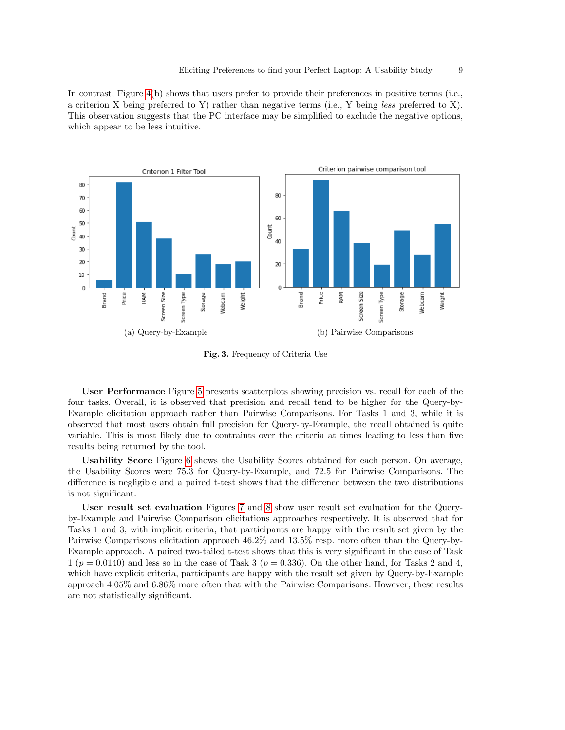In contrast, Figure [4\(](#page-9-1)b) shows that users prefer to provide their preferences in positive terms (i.e., a criterion X being preferred to Y) rather than negative terms (i.e., Y being less preferred to X). This observation suggests that the PC interface may be simplified to exclude the negative options, which appear to be less intuitive.



<span id="page-8-0"></span>Fig. 3. Frequency of Criteria Use

User Performance Figure [5](#page-10-0) presents scatterplots showing precision vs. recall for each of the four tasks. Overall, it is observed that precision and recall tend to be higher for the Query-by-Example elicitation approach rather than Pairwise Comparisons. For Tasks 1 and 3, while it is observed that most users obtain full precision for Query-by-Example, the recall obtained is quite variable. This is most likely due to contraints over the criteria at times leading to less than five results being returned by the tool.

Usability Score Figure [6](#page-11-4) shows the Usability Scores obtained for each person. On average, the Usability Scores were 75.3 for Query-by-Example, and 72.5 for Pairwise Comparisons. The difference is negligible and a paired t-test shows that the difference between the two distributions is not significant.

User result set evaluation Figures [7](#page-12-8) and [8](#page-13-1) show user result set evaluation for the Queryby-Example and Pairwise Comparison elicitations approaches respectively. It is observed that for Tasks 1 and 3, with implicit criteria, that participants are happy with the result set given by the Pairwise Comparisons elicitation approach 46.2% and 13.5% resp. more often than the Query-by-Example approach. A paired two-tailed t-test shows that this is very significant in the case of Task  $1 (p = 0.0140)$  and less so in the case of Task 3 ( $p = 0.336$ ). On the other hand, for Tasks 2 and 4, which have explicit criteria, participants are happy with the result set given by Query-by-Example approach 4.05% and 6.86% more often that with the Pairwise Comparisons. However, these results are not statistically significant.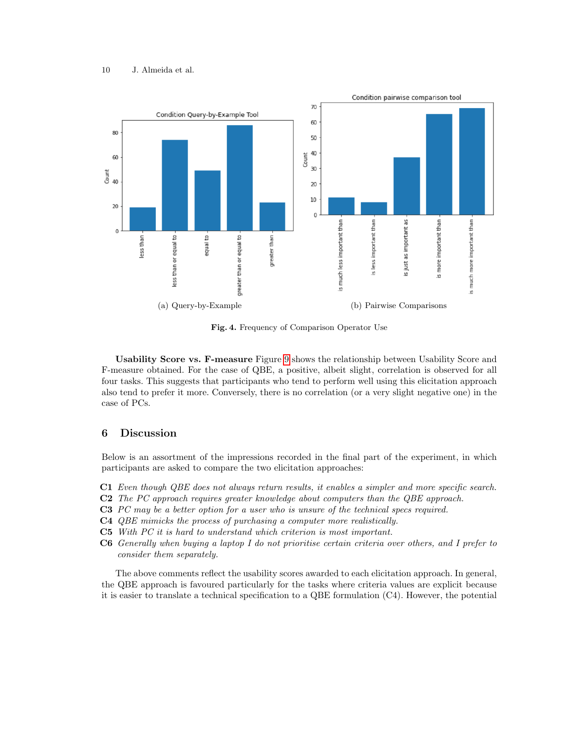

<span id="page-9-1"></span>Fig. 4. Frequency of Comparison Operator Use

Usability Score vs. F-measure Figure [9](#page-13-2) shows the relationship between Usability Score and F-measure obtained. For the case of QBE, a positive, albeit slight, correlation is observed for all four tasks. This suggests that participants who tend to perform well using this elicitation approach also tend to prefer it more. Conversely, there is no correlation (or a very slight negative one) in the case of PCs.

# <span id="page-9-0"></span>6 Discussion

Below is an assortment of the impressions recorded in the final part of the experiment, in which participants are asked to compare the two elicitation approaches:

- C1 Even though QBE does not always return results, it enables a simpler and more specific search.
- C2 The PC approach requires greater knowledge about computers than the QBE approach.
- C3 PC may be a better option for a user who is unsure of the technical specs required.
- C4 QBE mimicks the process of purchasing a computer more realistically.
- C5 With PC it is hard to understand which criterion is most important.
- C6 Generally when buying a laptop I do not prioritise certain criteria over others, and I prefer to consider them separately.

The above comments reflect the usability scores awarded to each elicitation approach. In general, the QBE approach is favoured particularly for the tasks where criteria values are explicit because it is easier to translate a technical specification to a QBE formulation (C4). However, the potential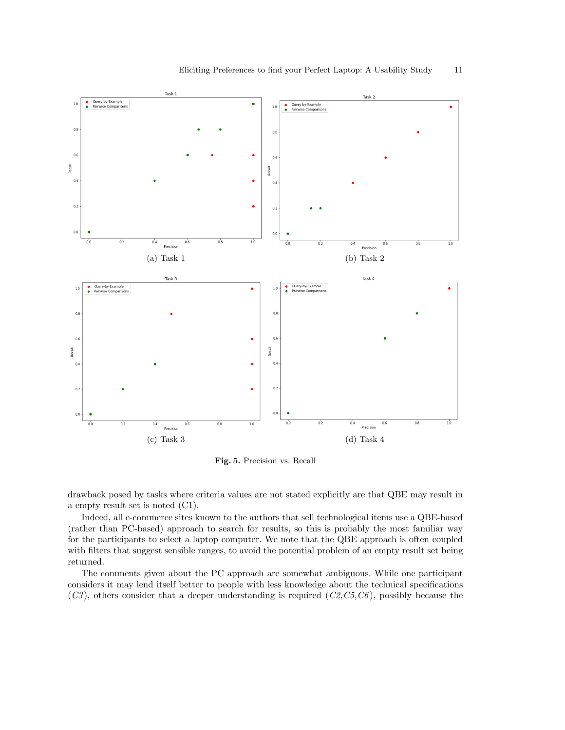

<span id="page-10-0"></span>Fig. 5. Precision vs. Recall

drawback posed by tasks where criteria values are not stated explicitly are that QBE may result in a empty result set is noted (C1).

Indeed, all e-commerce sites known to the authors that sell technological items use a QBE-based (rather than PC-based) approach to search for results, so this is probably the most familiar way for the participants to select a laptop computer. We note that the QBE approach is often coupled with filters that suggest sensible ranges, to avoid the potential problem of an empty result set being returned.

The comments given about the PC approach are somewhat ambiguous. While one participant considers it may lend itself better to people with less knowledge about the technical specifications  $(C3)$ , others consider that a deeper understanding is required  $(C2, C5, C6)$ , possibly because the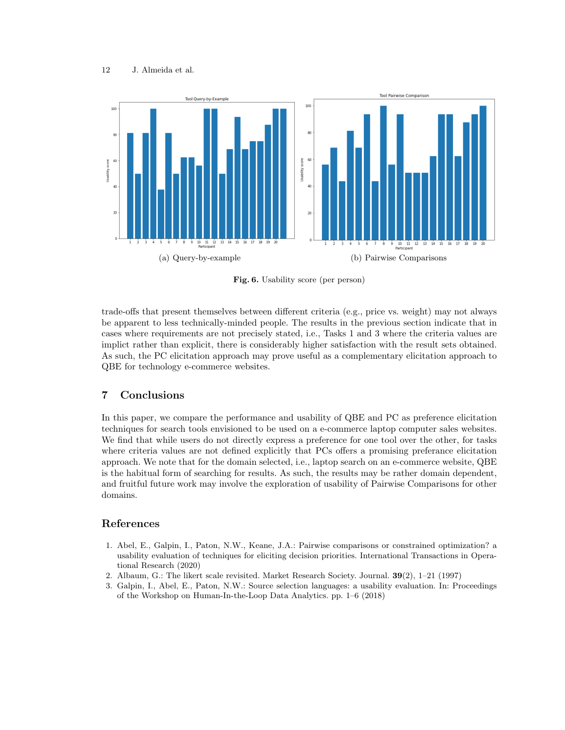

<span id="page-11-4"></span>Fig. 6. Usability score (per person)

trade-offs that present themselves between different criteria (e.g., price vs. weight) may not always be apparent to less technically-minded people. The results in the previous section indicate that in cases where requirements are not precisely stated, i.e., Tasks 1 and 3 where the criteria values are implict rather than explicit, there is considerably higher satisfaction with the result sets obtained. As such, the PC elicitation approach may prove useful as a complementary elicitation approach to QBE for technology e-commerce websites.

# <span id="page-11-0"></span>7 Conclusions

In this paper, we compare the performance and usability of QBE and PC as preference elicitation techniques for search tools envisioned to be used on a e-commerce laptop computer sales websites. We find that while users do not directly express a preference for one tool over the other, for tasks where criteria values are not defined explicitly that PCs offers a promising preferance elicitation approach. We note that for the domain selected, i.e., laptop search on an e-commerce website, QBE is the habitual form of searching for results. As such, the results may be rather domain dependent, and fruitful future work may involve the exploration of usability of Pairwise Comparisons for other domains.

### References

- <span id="page-11-2"></span>1. Abel, E., Galpin, I., Paton, N.W., Keane, J.A.: Pairwise comparisons or constrained optimization? a usability evaluation of techniques for eliciting decision priorities. International Transactions in Operational Research (2020)
- <span id="page-11-3"></span>2. Albaum, G.: The likert scale revisited. Market Research Society. Journal. 39(2), 1–21 (1997)
- <span id="page-11-1"></span>3. Galpin, I., Abel, E., Paton, N.W.: Source selection languages: a usability evaluation. In: Proceedings of the Workshop on Human-In-the-Loop Data Analytics. pp. 1–6 (2018)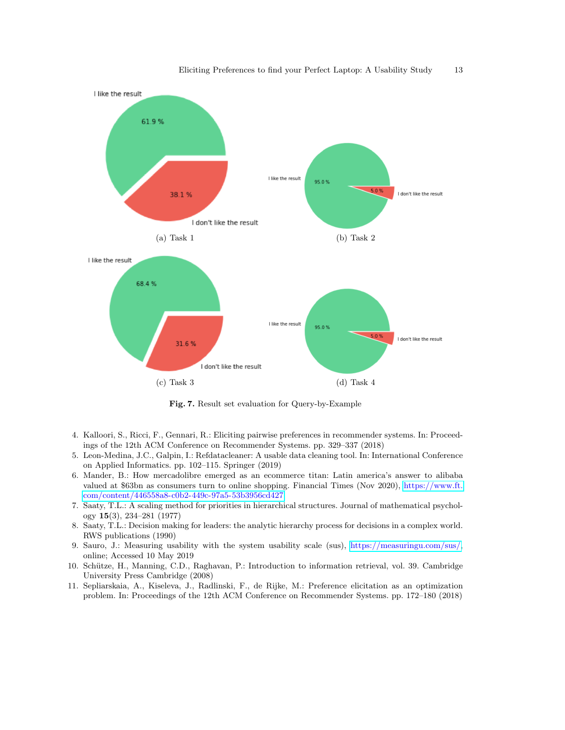

<span id="page-12-3"></span>4. Kalloori, S., Ricci, F., Gennari, R.: Eliciting pairwise preferences in recommender systems. In: Proceed-

 $\left( \text{c} \right)$  Task 3  $\left( \text{d} \right)$  Task 4

I don't like the result

31.6%

I like the result

95.0%

I don't like the result

<span id="page-12-8"></span>Fig. 7. Result set evaluation for Query-by-Example

- <span id="page-12-2"></span>ings of the 12th ACM Conference on Recommender Systems. pp. 329–337 (2018) 5. Leon-Medina, J.C., Galpin, I.: Refdatacleaner: A usable data cleaning tool. In: International Conference
- <span id="page-12-5"></span>on Applied Informatics. pp. 102–115. Springer (2019) 6. Mander, B.: How mercadolibre emerged as an ecommerce titan: Latin america's answer to alibaba
- valued at \$63bn as consumers turn to online shopping. Financial Times (Nov 2020), [https://www.ft.](https://www.ft.com/content/446558a8-c0b2-449c-97a5-53b3956cd427) [com/content/446558a8-c0b2-449c-97a5-53b3956cd427](https://www.ft.com/content/446558a8-c0b2-449c-97a5-53b3956cd427)
- <span id="page-12-0"></span>7. Saaty, T.L.: A scaling method for priorities in hierarchical structures. Journal of mathematical psychology 15(3), 234–281 (1977)
- <span id="page-12-1"></span>8. Saaty, T.L.: Decision making for leaders: the analytic hierarchy process for decisions in a complex world. RWS publications (1990)
- <span id="page-12-7"></span>9. Sauro, J.: Measuring usability with the system usability scale (sus), [https://measuringu.com/sus/,](https://measuringu.com/sus/) online; Accessed 10 May 2019
- <span id="page-12-6"></span>10. Schütze, H., Manning, C.D., Raghavan, P.: Introduction to information retrieval, vol. 39. Cambridge University Press Cambridge (2008)
- <span id="page-12-4"></span>11. Sepliarskaia, A., Kiseleva, J., Radlinski, F., de Rijke, M.: Preference elicitation as an optimization problem. In: Proceedings of the 12th ACM Conference on Recommender Systems. pp. 172–180 (2018)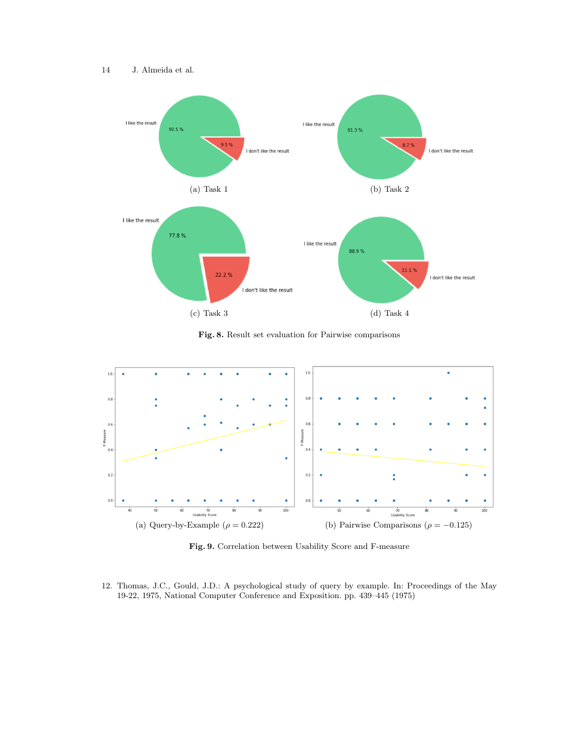



<span id="page-13-1"></span>Fig. 8. Result set evaluation for Pairwise comparisons



<span id="page-13-2"></span>Fig. 9. Correlation between Usability Score and F-measure

<span id="page-13-0"></span>12. Thomas, J.C., Gould, J.D.: A psychological study of query by example. In: Proceedings of the May 19-22, 1975, National Computer Conference and Exposition. pp. 439–445 (1975)